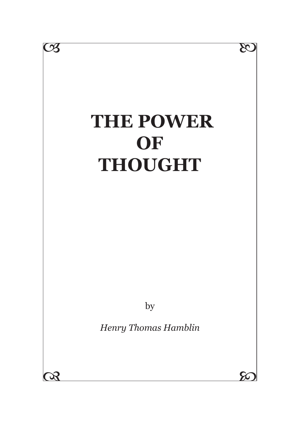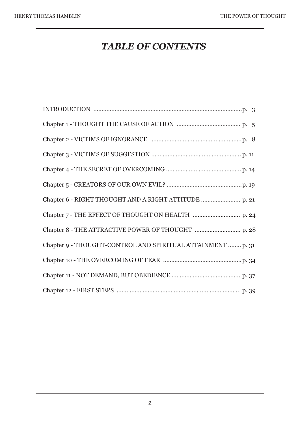# *TABLE OF CONTENTS*

| Chapter 9 - THOUGHT-CONTROL AND SPIRITUAL ATTAINMENT  p. 31 |
|-------------------------------------------------------------|
|                                                             |
|                                                             |
|                                                             |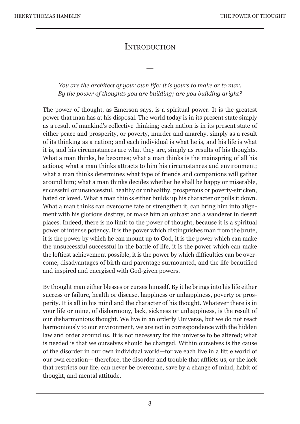### **INTRODUCTION**

—

### *You are the architect of your own life: it is yours to make or to mar. By the power of thoughts you are building; are you building aright?*

The power of thought, as Emerson says, is a spiritual power. It is the greatest power that man has at his disposal. The world today is in its present state simply as a result of mankind's collective thinking; each nation is in its present state of either peace and prosperity, or poverty, murder and anarchy, simply as a result of its thinking as a nation; and each individual is what he is, and his life is what it is, and his circumstances are what they are, simply as results of his thoughts. What a man thinks, he becomes; what a man thinks is the mainspring of all his actions; what a man thinks attracts to him his circumstances and environment; what a man thinks determines what type of friends and companions will gather around him; what a man thinks decides whether he shall be happy or miserable, successful or unsuccessful, healthy or unhealthy, prosperous or poverty-stricken, hated or loved. What a man thinks either builds up his character or pulls it down. What a man thinks can overcome fate or strengthen it, can bring him into alignment with his glorious destiny, or make him an outcast and a wanderer in desert places. Indeed, there is no limit to the power of thought, because it is a spiritual power of intense potency. It is the power which distinguishes man from the brute, it is the power by which he can mount up to God, it is the power which can make the unsuccessful successful in the battle of life, it is the power which can make the loftiest achievement possible, it is the power by which difficulties can be overcome, disadvantages of birth and parentage surmounted, and the life beautified and inspired and energised with God-given powers.

By thought man either blesses or curses himself. By it he brings into his life either success or failure, health or disease, happiness or unhappiness, poverty or prosperity. It is all in his mind and the character of his thought. Whatever there is in your life or mine, of disharmony, lack, sickness or unhappiness, is the result of our disharmonious thought. We live in an orderly Universe, but we do not react harmoniously to our environment, we are not in correspondence with the hidden law and order around us. It is not necessary for the universe to be altered; what is needed is that we ourselves should be changed. Within ourselves is the cause of the disorder in our own individual world—for we each live in a little world of our own creation— therefore, the disorder and trouble that afflicts us, or the lack that restricts our life, can never be overcome, save by a change of mind, habit of thought, and mental attitude.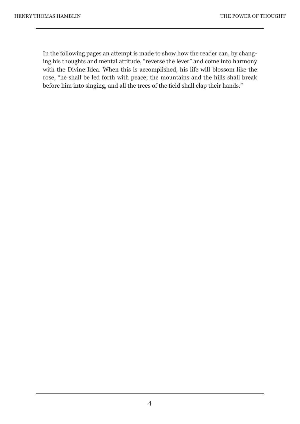In the following pages an attempt is made to show how the reader can, by changing his thoughts and mental attitude, "reverse the lever" and come into harmony with the Divine Idea. When this is accomplished, his life will blossom like the rose, "he shall be led forth with peace; the mountains and the hills shall break before him into singing, and all the trees of the field shall clap their hands."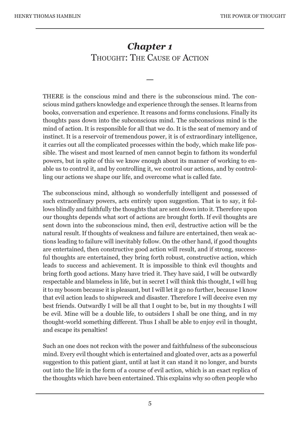# *Chapter 1*  THOUGHT: THE CAUSE OF ACTION

—

THERE is the conscious mind and there is the subconscious mind. The conscious mind gathers knowledge and experience through the senses. It learns from books, conversation and experience. It reasons and forms conclusions. Finally its thoughts pass down into the subconscious mind. The subconscious mind is the mind of action. It is responsible for all that we do. It is the seat of memory and of instinct. It is a reservoir of tremendous power, it is of extraordinary intelligence, it carries out all the complicated processes within the body, which make life possible. The wisest and most learned of men cannot begin to fathom its wonderful powers, but in spite of this we know enough about its manner of working to enable us to control it, and by controlling it, we control our actions, and by controlling our actions we shape our life, and overcome what is called fate.

The subconscious mind, although so wonderfully intelligent and possessed of such extraordinary powers, acts entirely upon suggestion. That is to say, it follows blindly and faithfully the thoughts that are sent down into it. Therefore upon our thoughts depends what sort of actions are brought forth. If evil thoughts are sent down into the subconscious mind, then evil, destructive action will be the natural result. If thoughts of weakness and failure are entertained, then weak actions leading to failure will inevitably follow. On the other hand, if good thoughts are entertained, then constructive good action will result, and if strong, successful thoughts are entertained, they bring forth robust, constructive action, which leads to success and achievement. It is impossible to think evil thoughts and bring forth good actions. Many have tried it. They have said, I will be outwardly respectable and blameless in life, but in secret I will think this thought, I will hug it to my bosom because it is pleasant, but I will let it go no further, because I know that evil action leads to shipwreck and disaster. Therefore I will deceive even my best friends. Outwardly I will be all that I ought to be, but in my thoughts I will be evil. Mine will be a double life, to outsiders I shall be one thing, and in my thought-world something different. Thus I shall be able to enjoy evil in thought, and escape its penalties!

Such an one does not reckon with the power and faithfulness of the subconscious mind. Every evil thought which is entertained and gloated over, acts as a powerful suggestion to this patient giant, until at last it can stand it no longer, and bursts out into the life in the form of a course of evil action, which is an exact replica of the thoughts which have been entertained. This explains why so often people who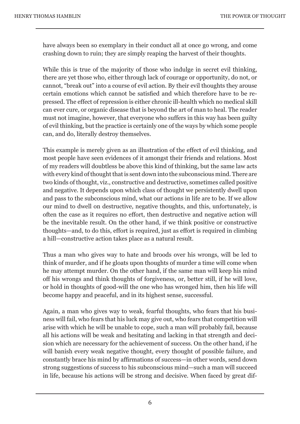have always been so exemplary in their conduct all at once go wrong, and come crashing down to ruin; they are simply reaping the harvest of their thoughts.

While this is true of the majority of those who indulge in secret evil thinking, there are yet those who, either through lack of courage or opportunity, do not, or cannot, "break out" into a course of evil action. By their evil thoughts they arouse certain emotions which cannot be satisfied and which therefore have to be repressed. The effect of repression is either chronic ill-health which no medical skill can ever cure, or organic disease that is beyond the art of man to heal. The reader must not imagine, however, that everyone who suffers in this way has been guilty of evil thinking, but the practice is certainly one of the ways by which some people can, and do, literally destroy themselves.

This example is merely given as an illustration of the effect of evil thinking, and most people have seen evidences of it amongst their friends and relations. Most of my readers will doubtless be above this kind of thinking, but the same law acts with every kind of thought that is sent down into the subconscious mind. There are two kinds of thought, viz., constructive and destructive, sometimes called positive and negative. It depends upon which class of thought we persistently dwell upon and pass to the subconscious mind, what our actions in life are to be. If we allow our mind to dwell on destructive, negative thoughts, and this, unfortunately, is often the case as it requires no effort, then destructive and negative action will be the inevitable result. On the other hand, if we think positive or constructive thoughts—and, to do this, effort is required, just as effort is required in climbing a hill—constructive action takes place as a natural result.

Thus a man who gives way to hate and broods over his wrongs, will be led to think of murder, and if he gloats upon thoughts of murder a time will come when he may attempt murder. On the other hand, if the same man will keep his mind off his wrongs and think thoughts of forgiveness, or, better still, if he will love, or hold in thoughts of good-will the one who has wronged him, then his life will become happy and peaceful, and in its highest sense, successful.

Again, a man who gives way to weak, fearful thoughts, who fears that his business will fail, who fears that his luck may give out, who fears that competition will arise with which he will be unable to cope, such a man will probably fail, because all his actions will be weak and hesitating and lacking in that strength and decision which are necessary for the achievement of success. On the other hand, if he will banish every weak negative thought, every thought of possible failure, and constantly brace his mind by affirmations of success—in other words, send down strong suggestions of success to his subconscious mind—such a man will succeed in life, because his actions will be strong and decisive. When faced by great dif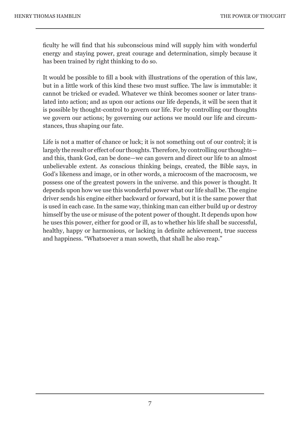ficulty he will find that his subconscious mind will supply him with wonderful energy and staying power, great courage and determination, simply because it has been trained by right thinking to do so.

It would be possible to fill a book with illustrations of the operation of this law, but in a little work of this kind these two must suffice. The law is immutable: it cannot be tricked or evaded. Whatever we think becomes sooner or later translated into action; and as upon our actions our life depends, it will be seen that it is possible by thought-control to govern our life. For by controlling our thoughts we govern our actions; by governing our actions we mould our life and circumstances, thus shaping our fate.

Life is not a matter of chance or luck; it is not something out of our control; it is largely the result or effect of our thoughts. Therefore, by controlling our thoughts and this, thank God, can be done—we can govern and direct our life to an almost unbelievable extent. As conscious thinking beings, created, the Bible says, in God's likeness and image, or in other words, a microcosm of the macrocosm, we possess one of the greatest powers in the universe. and this power is thought. It depends upon how we use this wonderful power what our life shall be. The engine driver sends his engine either backward or forward, but it is the same power that is used in each case. In the same way, thinking man can either build up or destroy himself by the use or misuse of the potent power of thought. It depends upon how he uses this power, either for good or ill, as to whether his life shall be successful, healthy, happy or harmonious, or lacking in definite achievement, true success and happiness. "Whatsoever a man soweth, that shall he also reap."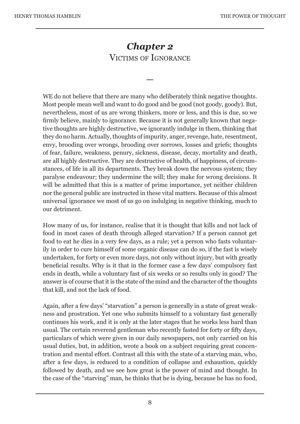# *Chapter 2*  VICTIMS OF IGNORANCE

—

WE do not believe that there are many who deliberately think negative thoughts. Most people mean well and want to do good and be good (not goody, goody). But, nevertheless, most of us are wrong thinkers, more or less, and this is due, so we firmly believe, mainly to ignorance. Because it is not generally known that negative thoughts are highly destructive, we ignorantly indulge in them, thinking that they do no harm. Actually, thoughts of impurity, anger, revenge, hate, resentment, envy, brooding over wrongs, brooding over sorrows, losses and griefs; thoughts of fear, failure, weakness, penury, sickness, disease, decay, mortality and death, are all highly destructive. They are destructive of health, of happiness, of circumstances, of life in all its departments. They break down the nervous system; they paralyse endeavour; they undermine the will; they make for wrong decisions. It will be admitted that this is a matter of prime importance, yet neither children nor the general public are instructed in these vital matters. Because of this almost universal ignorance we most of us go on indulging in negative thinking, much to our detriment.

How many of us, for instance, realise that it is thought that kills and not lack of food in most cases of death through alleged starvation? If a person cannot get food to eat he dies in a very few days, as a rule; yet a person who fasts voluntarily in order to cure himself of some organic disease can do so, if the fast is wisely undertaken, for forty or even more days, not only without injury, but with greatly beneficial results. Why is it that in the former case a few days' compulsory fast ends in death, while a voluntary fast of six weeks or so results only in good? The answer is of course that it is the state of the mind and the character of the thoughts that kill, and not the lack of food.

Again, after a few days' "starvation" a person is generally in a state of great weakness and prostration. Yet one who submits himself to a voluntary fast generally continues his work, and it is only at the later stages that he works less hard than usual. The certain reverend gentleman who recently fasted for forty or fifty days, particulars of which were given in our daily newspapers, not only carried on his usual duties, but, in addition, wrote a book on a subject requiring great concentration and mental effort. Contrast all this with the state of a starving man, who, after a few days, is reduced to a condition of collapse and exhaustion, quickly followed by death, and we see how great is the power of mind and thought. In the case of the "starving" man, he thinks that he is dying, because he has no food,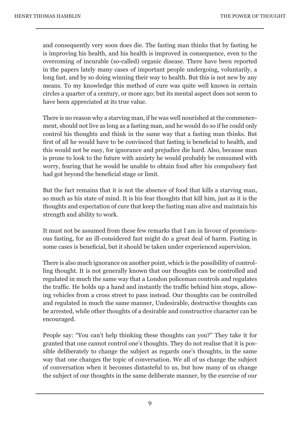and consequently very soon does die. The fasting man thinks that by fasting he is improving his health, and his health is improved in consequence, even to the overcoming of incurable (so-called) organic disease. There have been reported in the papers lately many cases of important people undergoing, voluntarily, a long fast, and by so doing winning their way to health. But this is not new by any means. To my knowledge this method of cure was quite well known in certain circles a quarter of a century, or more ago; but its mental aspect does not seem to have been appreciated at its true value.

There is no reason why a starving man, if he was well nourished at the commencement, should not live as long as a fasting man, and he would do so if he could only control his thoughts and think in the same way that a fasting man thinks. But first of all he would have to be convinced that fasting is beneficial to health, and this would not be easy, for ignorance and prejudice die hard. Also, because man is prone to look to the future with anxiety he would probably be consumed with worry, fearing that he would be unable to obtain food after his compulsory fast had got beyond the beneficial stage or limit.

But the fact remains that it is not the absence of food that kills a starving man, so much as his state of mind. It is his fear thoughts that kill him, just as it is the thoughts and expectation of cure that keep the fasting man alive and maintain his strength and ability to work.

It must not be assumed from these few remarks that I am in favour of promiscuous fasting, for an ill-considered fast might do a great deal of harm. Fasting in some cases is beneficial, but it should be taken under experienced supervision.

There is also much ignorance on another point, which is the possibility of controlling thought. It is not generally known that our thoughts can be controlled and regulated in much the same way that a London policeman controls and regulates the traffic. He holds up a hand and instantly the traffic behind him stops, allowing vehicles from a cross street to pass instead. Our thoughts can be controlled and regulated in much the same manner, Undesirable, destructive thoughts can be arrested, while other thoughts of a desirable and constructive character can be encouraged.

People say: "You can't help thinking these thoughts can you?" They take it for granted that one cannot control one's thoughts. They do not realise that it is possible deliberately to change the subject as regards one's thoughts, in the same way that one changes the topic of conversation. We all of us change the subject of conversation when it becomes distasteful to us, but how many of us change the subject of our thoughts in the same deliberate manner, by the exercise of our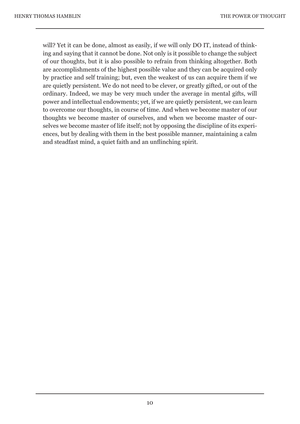will? Yet it can be done, almost as easily, if we will only DO IT, instead of thinking and saying that it cannot be done. Not only is it possible to change the subject of our thoughts, but it is also possible to refrain from thinking altogether. Both are accomplishments of the highest possible value and they can be acquired only by practice and self training; but, even the weakest of us can acquire them if we are quietly persistent. We do not need to be clever, or greatly gifted, or out of the ordinary. Indeed, we may be very much under the average in mental gifts, will power and intellectual endowments; yet, if we are quietly persistent, we can learn to overcome our thoughts, in course of time. And when we become master of our thoughts we become master of ourselves, and when we become master of ourselves we become master of life itself; not by opposing the discipline of its experiences, but by dealing with them in the best possible manner, maintaining a calm and steadfast mind, a quiet faith and an unflinching spirit.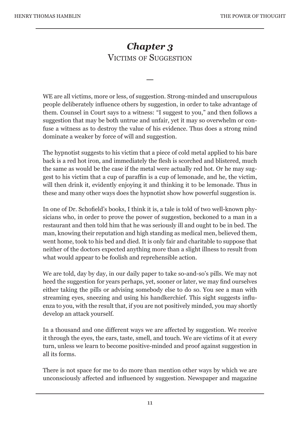# *Chapter 3*  VICTIMS OF SUGGESTION

—

WE are all victims, more or less, of suggestion. Strong-minded and unscrupulous people deliberately influence others by suggestion, in order to take advantage of them. Counsel in Court says to a witness: "I suggest to you," and then follows a suggestion that may be both untrue and unfair, yet it may so overwhelm or confuse a witness as to destroy the value of his evidence. Thus does a strong mind dominate a weaker by force of will and suggestion.

The hypnotist suggests to his victim that a piece of cold metal applied to his bare back is a red hot iron, and immediately the flesh is scorched and blistered, much the same as would be the case if the metal were actually red hot. Or he may suggest to his victim that a cup of paraffin is a cup of lemonade, and he, the victim, will then drink it, evidently enjoying it and thinking it to be lemonade. Thus in these and many other ways does the hypnotist show how powerful suggestion is.

In one of Dr. Schofield's books, I think it is, a tale is told of two well-known physicians who, in order to prove the power of suggestion, beckoned to a man in a restaurant and then told him that he was seriously ill and ought to be in bed. The man, knowing their reputation and high standing as medical men, believed them, went home, took to his bed and died. It is only fair and charitable to suppose that neither of the doctors expected anything more than a slight illness to result from what would appear to be foolish and reprehensible action.

We are told, day by day, in our daily paper to take so-and-so's pills. We may not heed the suggestion for years perhaps, yet, sooner or later, we may find ourselves either taking the pills or advising somebody else to do so. You see a man with streaming eyes, sneezing and using his handkerchief. This sight suggests influenza to you, with the result that, if you are not positively minded, you may shortly develop an attack yourself.

In a thousand and one different ways we are affected by suggestion. We receive it through the eyes, the ears, taste, smell, and touch. We are victims of it at every turn, unless we learn to become positive-minded and proof against suggestion in all its forms.

There is not space for me to do more than mention other ways by which we are unconsciously affected and influenced by suggestion. Newspaper and magazine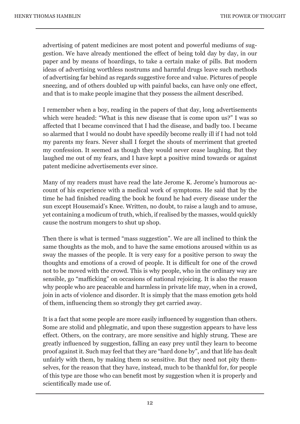advertising of patent medicines are most potent and powerful mediums of suggestion. We have already mentioned the effect of being told day by day, in our paper and by means of hoardings, to take a certain make of pills. But modern ideas of advertising worthless nostrums and harmful drugs leave such methods of advertising far behind as regards suggestive force and value. Pictures of people sneezing, and of others doubled up with painful backs, can have only one effect, and that is to make people imagine that they possess the ailment described.

I remember when a boy, reading in the papers of that day, long advertisements which were headed: "What is this new disease that is come upon us?" I was so affected that I became convinced that I had the disease, and badly too. I became so alarmed that I would no doubt have speedily become really ill if I had not told my parents my fears. Never shall I forget the shouts of merriment that greeted my confession. It seemed as though they would never cease laughing. But they laughed me out of my fears, and I have kept a positive mind towards or against patent medicine advertisements ever since.

Many of my readers must have read the late Jerome K. Jerome's humorous account of his experience with a medical work of symptoms. He said that by the time he had finished reading the book he found he had every disease under the sun except Housemaid's Knee. Written, no doubt, to raise a laugh and to amuse, yet containing a modicum of truth, which, if realised by the masses, would quickly cause the nostrum mongers to shut up shop.

Then there is what is termed "mass suggestion". We are all inclined to think the same thoughts as the mob, and to have the same emotions aroused within us as sway the masses of the people. It is very easy for a positive person to sway the thoughts and emotions of a crowd of people. It is difficult for one of the crowd not to be moved with the crowd. This is why people, who in the ordinary way are sensible, go "mafficking" on occasions of national rejoicing. It is also the reason why people who are peaceable and harmless in private life may, when in a crowd, join in acts of violence and disorder. It is simply that the mass emotion gets hold of them, influencing them so strongly they get carried away.

It is a fact that some people are more easily influenced by suggestion than others. Some are stolid and phlegmatic, and upon these suggestion appears to have less effect. Others, on the contrary, are more sensitive and highly strung. These are greatly influenced by suggestion, falling an easy prey until they learn to become proof against it. Such may feel that they are "hard done by", and that life has dealt unfairly with them, by making them so sensitive. But they need not pity themselves, for the reason that they have, instead, much to be thankful for, for people of this type are those who can benefit most by suggestion when it is properly and scientifically made use of.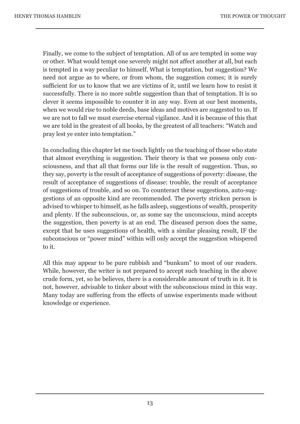Finally, we come to the subject of temptation. All of us are tempted in some way or other. What would tempt one severely might not affect another at all, but each is tempted in a way peculiar to himself. What is temptation, but suggestion? We need not argue as to where, or from whom, the suggestion comes; it is surely sufficient for us to know that we are victims of it, until we learn how to resist it successfully. There is no more subtle suggestion than that of temptation. It is so clever it seems impossible to counter it in any way. Even at our best moments, when we would rise to noble deeds, base ideas and motives are suggested to us. If we are not to fall we must exercise eternal vigilance. And it is because of this that we are told in the greatest of all books, by the greatest of all teachers: "Watch and pray lest ye enter into temptation."

In concluding this chapter let me touch lightly on the teaching of those who state that almost everything is suggestion. Their theory is that we possess only consciousness, and that all that forms our life is the result of suggestion. Thus, so they say, poverty is the result of acceptance of suggestions of poverty: disease, the result of acceptance of suggestions of disease: trouble, the result of acceptance of suggestions of trouble, and so on. To counteract these suggestions, auto-suggestions of an opposite kind are recommended. The poverty stricken person is advised to whisper to himself, as he falls asleep, suggestions of wealth, prosperity and plenty. If the subconscious, or, as some say the unconscious, mind accepts the suggestion, then poverty is at an end. The diseased person does the same, except that he uses suggestions of health, with a similar pleasing result, IF the subconscious or "power mind" within will only accept the suggestion whispered to it.

All this may appear to be pure rubbish and "bunkum" to most of our readers. While, however, the writer is not prepared to accept such teaching in the above crude form, yet, so he believes, there is a considerable amount of truth in it. It is not, however, advisable to tinker about with the subconscious mind in this way. Many today are suffering from the effects of unwise experiments made without knowledge or experience.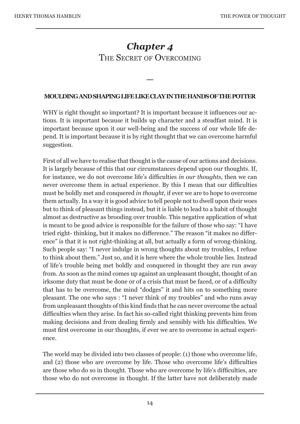### *Chapter 4* THE SECRET OF OVERCOMING

#### **MOULDING AND SHAPING LIFE LIKE CLAY IN THE HANDS OF THE POTTER**

—

WHY is right thought so important? It is important because it influences our actions. It is important because it builds up character and a steadfast mind. It is important because upon it our well-being and the success of our whole life depend. It is important because it is by right thought that we can overcome harmful suggestion.

First of all we have to realise that thought is the cause of our actions and decisions. It is largely because of this that our circumstances depend upon our thoughts. If, for instance, we do not overcome life's difficulties *in our thoughts*, then we can never overcome them in actual experience. By this I mean that our difficulties must be boldly met and conquered *in thought*, if ever we are to hope to overcome them actually. In a way it is good advice to tell people not to dwell upon their woes but to think of pleasant things instead, but it is liable to lead to a habit of thought almost as destructive as brooding over trouble. This negative application of what is meant to be good advice is responsible for the failure of those who say: "I have tried right- thinking, but it makes no difference." The reason "it makes no difference" is that it is not right-thinking at all, but actually a form of wrong-thinking. Such people say: "I never indulge in wrong thoughts about my troubles, I refuse to think about them." Just so, and it is here where the whole trouble lies. Instead of life's trouble being met boldly and conquered in thought they are run away from. As soon as the mind comes up against an unpleasant thought, thought of an irksome duty that must be done or of a crisis that must be faced, or of a difficulty that has to be overcome, the mind "dodges" it and hits on to something more pleasant. The one who says : "I never think of my troubles" and who runs away from unpleasant thoughts of this kind finds that he can never overcome the actual difficulties when they arise. In fact his so-called right thinking prevents him from making decisions and from dealing firmly and sensibly with his difficulties. We must first overcome in our thoughts, if ever we are to overcome in actual experience.

The world may be divided into two classes of people: (1) those who overcome life, and (2) those who are overcome by life. Those who overcome life's difficulties are those who do so in thought. Those who are overcome by life's difficulties, are those who do not overcome in thought. If the latter have not deliberately made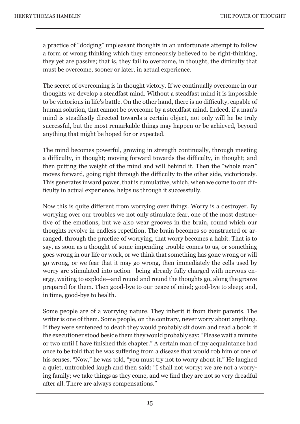a practice of "dodging" unpleasant thoughts in an unfortunate attempt to follow a form of wrong thinking which they erroneously believed to be right-thinking, they yet are passive; that is, they fail to overcome, in thought, the difficulty that must be overcome, sooner or later, in actual experience.

The secret of overcoming is in thought victory. If we continually overcome in our thoughts we develop a steadfast mind. Without a steadfast mind it is impossible to be victorious in life's battle. On the other hand, there is no difficulty, capable of human solution, that cannot be overcome by a steadfast mind. Indeed, if a man's mind is steadfastly directed towards a certain object, not only will he be truly successful, but the most remarkable things may happen or be achieved, beyond anything that might be hoped for or expected.

The mind becomes powerful, growing in strength continually, through meeting a difficulty, in thought; moving forward towards the difficulty, in thought; and then putting the weight of the mind and will behind it. Then the "whole man" moves forward, going right through the difficulty to the other side, victoriously. This generates inward power, that is cumulative, which, when we come to our difficulty in actual experience, helps us through it successfully.

Now this is quite different from worrying over things. Worry is a destroyer. By worrying over our troubles we not only stimulate fear, one of the most destructive of the emotions, but we also wear grooves in the brain, round which our thoughts revolve in endless repetition. The brain becomes so constructed or arranged, through the practice of worrying, that worry becomes a habit. That is to say, as soon as a thought of some impending trouble comes to us, or something goes wrong in our life or work, or we think that something has gone wrong or will go wrong, or we fear that it may go wrong, then immediately the cells used by worry are stimulated into action—being already fully charged with nervous energy, waiting to explode—and round and round the thoughts go, along the groove prepared for them. Then good-bye to our peace of mind; good-bye to sleep; and, in time, good-bye to health.

Some people are of a worrying nature. They inherit it from their parents. The writer is one of them. Some people, on the contrary, never worry about anything. If they were sentenced to death they would probably sit down and read a book; if the executioner stood beside them they would probably say: "Please wait a minute or two until I have finished this chapter." A certain man of my acquaintance had once to be told that he was suffering from a disease that would rob him of one of his senses. "Now," he was told, "you must try not to worry about it." He laughed a quiet, untroubled laugh and then said: "I shall not worry; we are not a worrying family; we take things as they come, and we find they are not so very dreadful after all. There are always compensations."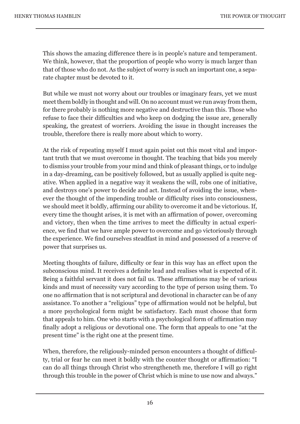This shows the amazing difference there is in people's nature and temperament. We think, however, that the proportion of people who worry is much larger than that of those who do not. As the subject of worry is such an important one, a separate chapter must be devoted to it.

But while we must not worry about our troubles or imaginary fears, yet we must meet them boldly in thought and will. On no account must we run away from them, for there probably is nothing more negative and destructive than this. Those who refuse to face their difficulties and who keep on dodging the issue are, generally speaking, the greatest of worriers. Avoiding the issue in thought increases the trouble, therefore there is really more about which to worry.

At the risk of repeating myself I must again point out this most vital and important truth that we must overcome in thought. The teaching that bids you merely to dismiss your trouble from your mind and think of pleasant things, or to indulge in a day-dreaming, can be positively followed, but as usually applied is quite negative. When applied in a negative way it weakens the will, robs one of initiative, and destroys one's power to decide and act. Instead of avoiding the issue, whenever the thought of the impending trouble or difficulty rises into consciousness, we should meet it boldly, affirming our ability to overcome it and be victorious. If, every time the thought arises, it is met with an affirmation of power, overcoming and victory, then when the time arrives to meet the difficulty in actual experience, we find that we have ample power to overcome and go victoriously through the experience. We find ourselves steadfast in mind and possessed of a reserve of power that surprises us.

Meeting thoughts of failure, difficulty or fear in this way has an effect upon the subconscious mind. It receives a definite lead and realises what is expected of it. Being a faithful servant it does not fail us. These affirmations may be of various kinds and must of necessity vary according to the type of person using them. To one no affirmation that is not scriptural and devotional in character can be of any assistance. To another a "religious" type of affirmation would not be helpful, but a more psychological form might be satisfactory. Each must choose that form that appeals to him. One who starts with a psychological form of affirmation may finally adopt a religious or devotional one. The form that appeals to one "at the present time" is the right one at the present time.

When, therefore, the religiously-minded person encounters a thought of difficulty, trial or fear he can meet it boldly with the counter thought or affirmation: "I can do all things through Christ who strengtheneth me, therefore I will go right through this trouble in the power of Christ which is mine to use now and always."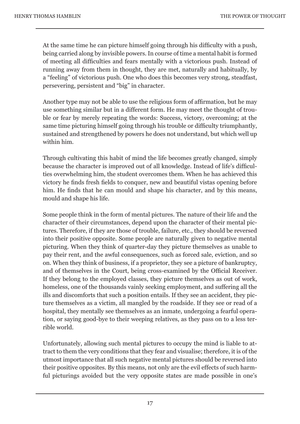At the same time he can picture himself going through his difficulty with a push, being carried along by invisible powers. In course of time a mental habit is formed of meeting all difficulties and fears mentally with a victorious push. Instead of running away from them in thought, they are met, naturally and habitually, by a "feeling" of victorious push. One who does this becomes very strong, steadfast, persevering, persistent and "big" in character.

Another type may not be able to use the religious form of affirmation, but he may use something similar but in a different form. He may meet the thought of trouble or fear by merely repeating the words: Success, victory, overcoming; at the same time picturing himself going through his trouble or difficulty triumphantly, sustained and strengthened by powers he does not understand, but which well up within him.

Through cultivating this habit of mind the life becomes greatly changed, simply because the character is improved out of all knowledge. Instead of life's difficulties overwhelming him, the student overcomes them. When he has achieved this victory he finds fresh fields to conquer, new and beautiful vistas opening before him. He finds that he can mould and shape his character, and by this means, mould and shape his life.

Some people think in the form of mental pictures. The nature of their life and the character of their circumstances, depend upon the character of their mental pictures. Therefore, if they are those of trouble, failure, etc., they should be reversed into their positive opposite. Some people are naturally given to negative mental picturing. When they think of quarter-day they picture themselves as unable to pay their rent, and the awful consequences, such as forced sale, eviction, and so on. When they think of business, if a proprietor, they see a picture of bankruptcy, and of themselves in the Court, being cross-examined by the Official Receiver. If they belong to the employed classes, they picture themselves as out of work, homeless, one of the thousands vainly seeking employment, and suffering all the ills and discomforts that such a position entails. If they see an accident, they picture themselves as a victim, all mangled by the roadside. If they see or read of a hospital, they mentally see themselves as an inmate, undergoing a fearful operation, or saying good-bye to their weeping relatives, as they pass on to a less terrible world.

Unfortunately, allowing such mental pictures to occupy the mind is liable to attract to them the very conditions that they fear and visualise; therefore, it is of the utmost importance that all such negative mental pictures should be reversed into their positive opposites. By this means, not only are the evil effects of such harmful picturings avoided but the very opposite states are made possible in one's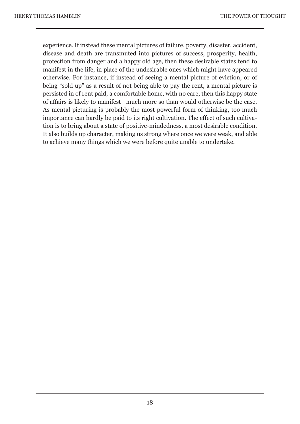experience. If instead these mental pictures of failure, poverty, disaster, accident, disease and death are transmuted into pictures of success, prosperity, health, protection from danger and a happy old age, then these desirable states tend to manifest in the life, in place of the undesirable ones which might have appeared otherwise. For instance, if instead of seeing a mental picture of eviction, or of being "sold up" as a result of not being able to pay the rent, a mental picture is persisted in of rent paid, a comfortable home, with no care, then this happy state of affairs is likely to manifest—much more so than would otherwise be the case. As mental picturing is probably the most powerful form of thinking, too much importance can hardly be paid to its right cultivation. The effect of such cultivation is to bring about a state of positive-mindedness, a most desirable condition. It also builds up character, making us strong where once we were weak, and able to achieve many things which we were before quite unable to undertake.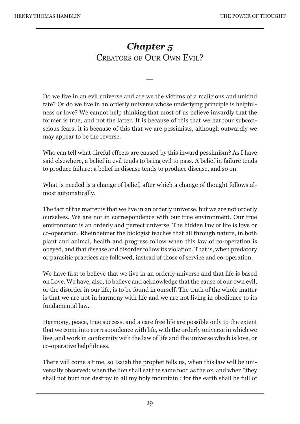# *Chapter 5*  CREATORS OF OUR OWN EVIL?

—

Do we live in an evil universe and are we the victims of a malicious and unkind fate? Or do we live in an orderly universe whose underlying principle is helpfulness or love? We cannot help thinking that most of us believe inwardly that the former is true, and not the latter. It is because of this that we harbour subconscious fears; it is because of this that we are pessimists, although outwardly we may appear to be the reverse.

Who can tell what direful effects are caused by this inward pessimism? As I have said elsewhere, a belief in evil tends to bring evil to pass. A belief in failure tends to produce failure; a belief in disease tends to produce disease, and so on.

What is needed is a change of belief, after which a change of thought follows almost automatically.

The fact of the matter is that we live in an orderly universe, but we are not orderly ourselves. We are not in correspondence with our true environment. Our true environment is an orderly and perfect universe. The hidden law of life is love or co-operation. Rheinheimer the biologist teaches that all through nature, in both plant and animal, health and progress follow when this law of co-operation is obeyed, and that disease and disorder follow its violation. That is, when predatory or parasitic practices are followed, instead of those of service and co-operation.

We have first to believe that we live in an orderly universe and that life is based on Love. We have, also, to believe and acknowledge that the cause of our own evil, or the disorder in our life, is to be found in ourself. The truth of the whole matter is that we are not in harmony with life and we are not living in obedience to its fundamental law.

Harmony, peace, true success, and a care free life are possible only to the extent that we come into correspondence with life, with the orderly universe in which we live, and work in conformity with the law of life and the universe which is love, or co-operative helpfulness.

There will come a time, so Isaiah the prophet tells us, when this law will be universally observed; when the lion shall eat the same food as the ox, and when "they shall not hurt nor destroy in all my holy mountain : for the earth shall be full of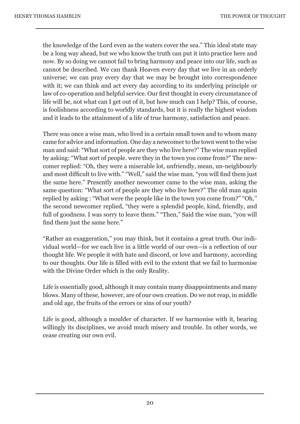the knowledge of the Lord even as the waters cover the sea." This ideal state may be a long way ahead, but we who know the truth can put it into practice here and now. By so doing we cannot fail to bring harmony and peace into our life, such as cannot be described. We can thank Heaven every day that we live in an orderly universe; we can pray every day that we may be brought into correspondence with it; we can think and act every day according to its underlying principle or law of co-operation and helpful service. Our first thought in every circumstance of life will be, not what can I get out of it, but how much can I help? This, of course, is foolishness according to worldly standards, but it is really the highest wisdom and it leads to the attainment of a life of true harmony, satisfaction and peace.

There was once a wise man, who lived in a certain small town and to whom many came for advice and information. One day a newcomer to the town went to the wise man and said: "What sort of people are they who live here?" The wise man replied by asking: "What sort of people. were they in the town you come from?" The newcomer replied: "Oh, they were a miserable lot, unfriendly, mean, un-neighbourly and most difficult to live with." "Well," said the wise man, "you will find them just the same here." Presently another newcomer came to the wise man, asking the same question: "What sort of people are they who live here?" The old man again replied by asking : "What were the people like in the town you come from?" "Oh,'' the second newcomer replied, "they were a splendid people, kind, friendly, and full of goodness. I was sorry to leave them." "Then," Said the wise man, "you will find them just the same here."

"Rather an exaggeration," you may think, but it contains a great truth. Our individual world—for we each live in a little world of our own—is a reflection of our thought life. We people it with hate and discord, or love and harmony, according to our thoughts. Our life is filled with evil to the extent that we fail to harmonise with the Divine Order which is the only Reality.

Life is essentially good, although it may contain many disappointments and many blows. Many of these, however, are of our own creation. Do we not reap, in middle and old age, the fruits of the errors or sins of our youth?

Life is good, although a moulder of character. If we harmonise with it, bearing willingly its disciplines, we avoid much misery and trouble. In other words, we cease creating our own evil.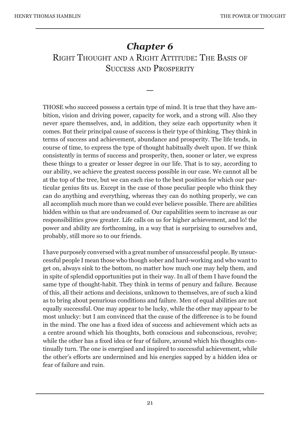# *Chapter 6*  RIGHT THOUGHT AND A RIGHT ATTITUDE: THE BASIS OF SUCCESS AND PROSPERITY

—

THOSE who succeed possess a certain type of mind. It is true that they have ambition, vision and driving power, capacity for work, and a strong will. Also they never spare themselves, and, in addition, they seize each opportunity when it comes. But their principal cause of success is their type of thinking. They think in terms of success and achievement, abundance and prosperity. The life tends, in course of time, to express the type of thought habitually dwelt upon. If we think consistently in terms of success and prosperity, then, sooner or later, we express these things to a greater or lesser degree in our life. That is to say, according to our ability, we achieve the greatest success possible in our case. We cannot all be at the top of the tree, but we can each rise to the best position for which our particular genius fits us. Except in the case of those peculiar people who think they can do anything and everything, whereas they can do nothing properly, we can all accomplish much more than we could ever believe possible. There are abilities hidden within us that are undreamed of. Our capabilities seem to increase as our responsibilities grow greater. Life calls on us for higher achievement, and lo! the power and ability are forthcoming, in a way that is surprising to ourselves and, probably, still more so to our friends.

I have purposely conversed with a great number of unsuccessful people. By unsuccessful people I mean those who though sober and hard-working and who want to get on, always sink to the bottom, no matter how much one may help them, and in spite of splendid opportunities put in their way. In all of them I have found the same type of thought-habit. They think in terms of penury and failure. Because of this, all their actions and decisions, unknown to themselves, are of such a kind as to bring about penurious conditions and failure. Men of equal abilities are not equally successful. One may appear to be lucky, while the other may appear to be most unlucky: but I am convinced that the cause of the difference is to be found in the mind. The one has a fixed idea of success and achievement which acts as a centre around which his thoughts, both conscious and subconscious, revolve; while the other has a fixed idea or fear of failure, around which his thoughts continually turn. The one is energised and inspired to successful achievement, while the other's efforts are undermined and his energies sapped by a hidden idea or fear of failure and ruin.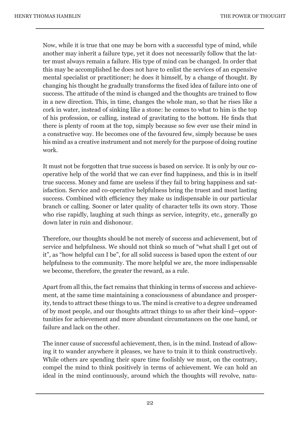Now, while it is true that one may be born with a successful type of mind, while another may inherit a failure type, yet it does not necessarily follow that the latter must always remain a failure. His type of mind can be changed. In order that this may be accomplished he does not have to enlist the services of an expensive mental specialist or practitioner; he does it himself, by a change of thought. By changing his thought he gradually transforms the fixed idea of failure into one of success. The attitude of the mind is changed and the thoughts are trained to flow in a new direction. This, in time, changes the whole man, so that he rises like a cork in water, instead of sinking like a stone: he comes to what to him is the top of his profession, or calling, instead of gravitating to the bottom. He finds that there is plenty of room at the top, simply because so few ever use their mind in a constructive way. He becomes one of the favoured few, simply because be uses his mind as a creative instrument and not merely for the purpose of doing routine work.

It must not be forgotten that true success is based on service. It is only by our cooperative help of the world that we can ever find happiness, and this is in itself true success. Money and fame are useless if they fail to bring happiness and satisfaction. Service and co-operative helpfulness bring the truest and most lasting success. Combined with efficiency they make us indispensable in our particular branch or calling. Sooner or later quality of character tells its own story. Those who rise rapidly, laughing at such things as service, integrity, etc., generally go down later in ruin and dishonour.

Therefore, our thoughts should be not merely of success and achievement, but of service and helpfulness. We should not think so much of "what shall I get out of it", as "how helpful can I be", for all solid success is based upon the extent of our helpfulness to the community. The more helpful we are, the more indispensable we become, therefore, the greater the reward, as a rule.

Apart from all this, the fact remains that thinking in terms of success and achievement, at the same time maintaining a consciousness of abundance and prosperity, tends to attract these things to us. The mind is creative to a degree undreamed of by most people, and our thoughts attract things to us after their kind—opportunities for achievement and more abundant circumstances on the one hand, or failure and lack on the other.

The inner cause of successful achievement, then, is in the mind. Instead of allowing it to wander anywhere it pleases, we have to train it to think constructively. While others are spending their spare time foolishly we must, on the contrary, compel the mind to think positively in terms of achievement. We can hold an ideal in the mind continuously, around which the thoughts will revolve, natu-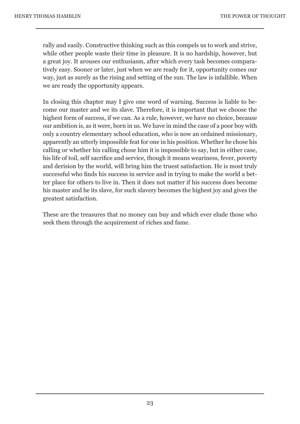rally and easily. Constructive thinking such as this compels us to work and strive, while other people waste their time in pleasure. It is no hardship, however, but a great joy. It arouses our enthusiasm, after which every task becomes comparatively easy. Sooner or later, just when we are ready for it, opportunity comes our way, just as surely as the rising and setting of the sun. The law is infallible. When we are ready the opportunity appears.

In closing this chapter may I give one word of warning. Success is liable to become our master and we its slave. Therefore, it is important that we choose the highest form of success, if we can. As a rule, however, we have no choice, because our ambition is, as it were, born in us. We have in mind the case of a poor boy with only a country elementary school education, who is now an ordained missionary, apparently an utterly impossible feat for one in his position. Whether he chose his calling or whether his calling chose him it is impossible to say, but in either case, his life of toil, self sacrifice and service, though it means weariness, fever, poverty and derision by the world, will bring him the truest satisfaction. He is most truly successful who finds his success in service and in trying to make the world a better place for others to live in. Then it does not matter if his success does become his master and he its slave, for such slavery becomes the highest joy and gives the greatest satisfaction.

These are the treasures that no money can buy and which ever elude those who seek them through the acquirement of riches and fame.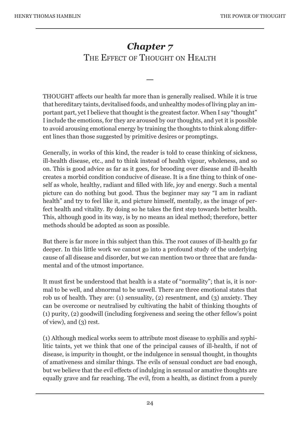# *Chapter 7* THE EFFECT OF THOUGHT ON HEALTH

—

THOUGHT affects our health far more than is generally realised. While it is true that hereditary taints, devitalised foods, and unhealthy modes of living play an important part, yet I believe that thought is the greatest factor. When I say "thought" I include the emotions, for they are aroused by our thoughts, and yet it is possible to avoid arousing emotional energy by training the thoughts to think along different lines than those suggested by primitive desires or promptings.

Generally, in works of this kind, the reader is told to cease thinking of sickness, ill-health disease, etc., and to think instead of health vigour, wholeness, and so on. This is good advice as far as it goes, for brooding over disease and ill-health creates a morbid condition conducive of disease. It is a fine thing to think of oneself as whole, healthy, radiant and filled with life, joy and energy. Such a mental picture can do nothing but good. Thus the beginner may say "I am in radiant health" and try to feel like it, and picture himself, mentally, as the image of perfect health and vitality. By doing so he takes the first step towards better health. This, although good in its way, is by no means an ideal method; therefore, better methods should be adopted as soon as possible.

But there is far more in this subject than this. The root causes of ill-health go far deeper. In this little work we cannot go into a profound study of the underlying cause of all disease and disorder, but we can mention two or three that are fundamental and of the utmost importance.

It must first be understood that health is a state of "normality"; that is, it is normal to be well, and abnormal to be unwell. There are three emotional states that rob us of health. They are: (1) sensuality, (2) resentment, and (3) anxiety. They can be overcome or neutralised by cultivating the habit of thinking thoughts of (1) purity, (2) goodwill (including forgiveness and seeing the other fellow's point of view), and (3) rest.

(1) Although medical works seem to attribute most disease to syphilis and syphilitic taints, yet we think that one of the principal causes of ill-health, if not of disease, is impurity in thought, or the indulgence in sensual thought, in thoughts of amativeness and similar things. The evils of sensual conduct are bad enough, but we believe that the evil effects of indulging in sensual or amative thoughts are equally grave and far reaching. The evil, from a health, as distinct from a purely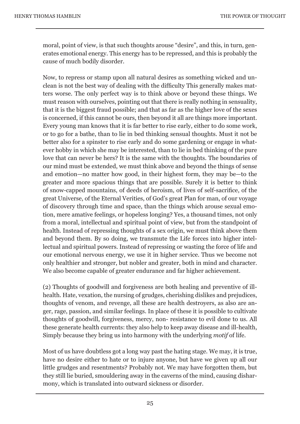moral, point of view, is that such thoughts arouse "desire", and this, in turn, generates emotional energy. This energy has to be repressed, and this is probably the cause of much bodily disorder.

Now, to repress or stamp upon all natural desires as something wicked and unclean is not the best way of dealing with the difficulty This generally makes matters worse. The only perfect way is to think above or beyond these things. We must reason with ourselves, pointing out that there is really nothing in sensuality, that it is the biggest fraud possible; and that as far as the higher love of the sexes is concerned, if this cannot be ours, then beyond it all are things more important. Every young man knows that it is far better to rise early, either to do some work, or to go for a bathe, than to lie in bed thinking sensual thoughts. Must it not be better also for a spinster to rise early and do some gardening or engage in whatever hobby in which she may be interested, than to lie in bed thinking of the pure love that can never be hers? It is the same with the thoughts. The boundaries of our mind must be extended, we must think above and beyond the things of sense and emotion—no matter how good, in their highest form, they may be—to the greater and more spacious things that are possible. Surely it is better to think of snow-capped mountains, of deeds of heroism, of lives of self-sacrifice, of the great Universe, of the Eternal Verities, of God's great Plan for man, of our voyage of discovery through time and space, than the things which arouse sexual emotion, mere amative feelings, or hopeless longing? Yes, a thousand times, not only from a moral, intellectual and spiritual point of view, but from the standpoint of health. Instead of repressing thoughts of a sex origin, we must think above them and beyond them. By so doing, we transmute the Life forces into higher intellectual and spiritual powers. Instead of repressing or wasting the force of life and our emotional nervous energy, we use it in higher service. Thus we become not only healthier and stronger, but nobler and greater, both in mind and character. We also become capable of greater endurance and far higher achievement.

(2) Thoughts of goodwill and forgiveness are both healing and preventive of illhealth. Hate, vexation, the nursing of grudges, cherishing dislikes and prejudices, thoughts of venom, and revenge, all these are health destroyers, as also are anger, rage, passion, and similar feelings. In place of these it is possible to cultivate thoughts of goodwill, forgiveness, mercy, non- resistance to evil done to us. All these generate health currents: they also help to keep away disease and ill-health, Simply because they bring us into harmony with the underlying *motif* of life.

Most of us have doubtless got a long way past the hating stage. We may, it is true, have no desire either to hate or to injure anyone, but have we given up all our little grudges and resentments? Probably not. We may have forgotten them, but they still lie buried, smouldering away in the caverns of the mind, causing disharmony, which is translated into outward sickness or disorder.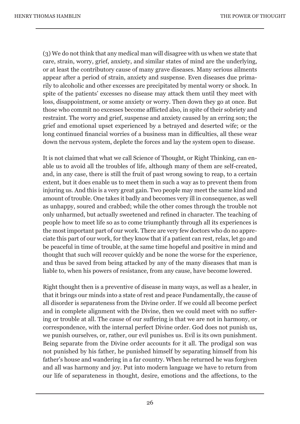(3) We do not think that any medical man will disagree with us when we state that care, strain, worry, grief, anxiety, and similar states of mind are the underlying, or at least the contributory cause of many grave diseases. Many serious ailments appear after a period of strain, anxiety and suspense. Even diseases due primarily to alcoholic and other excesses are precipitated by mental worry or shock. In spite of the patients' excesses no disease may attack them until they meet with loss, disappointment, or some anxiety or worry. Then down they go at once. But those who commit no excesses become afflicted also, in spite of their sobriety and restraint. The worry and grief, suspense and anxiety caused by an erring son; the grief and emotional upset experienced by a betrayed and deserted wife; or the long continued financial worries of a business man in difficulties, all these wear down the nervous system, deplete the forces and lay the system open to disease.

It is not claimed that what we call Science of Thought, or Right Thinking, can enable us to avoid all the troubles of life, although many of them are self-created, and, in any case, there is still the fruit of past wrong sowing to reap, to a certain extent, but it does enable us to meet them in such a way as to prevent them from injuring us. And this is a very great gain. Two people may meet the same kind and amount of trouble. One takes it badly and becomes very ill in consequence, as well as unhappy, soured and crabbed; while the other comes through the trouble not only unharmed, but actually sweetened and refined in character. The teaching of people how to meet life so as to come triumphantly through all its experiences is the most important part of our work. There are very few doctors who do no appreciate this part of our work, for they know that if a patient can rest, relax, let go and be peaceful in time of trouble, at the same time hopeful and positive in mind and thought that such will recover quickly and be none the worse for the experience, and thus be saved from being attacked by any of the many diseases that man is liable to, when his powers of resistance, from any cause, have become lowered.

Right thought then is a preventive of disease in many ways, as well as a healer, in that it brings our minds into a state of rest and peace Fundamentally, the cause of all disorder is separateness from the Divine order. If we could all become perfect and in complete alignment with the Divine, then we could meet with no suffering or trouble at all. The cause of our suffering is that we are not in harmony, or correspondence, with the internal perfect Divine order. God does not punish us, we punish ourselves, or, rather, our evil punishes us. Evil is its own punishment. Being separate from the Divine order accounts for it all. The prodigal son was not punished by his father, he punished himself by separating himself from his father's house and wandering in a far country. When he returned he was forgiven and all was harmony and joy. Put into modern language we have to return from our life of separateness in thought, desire, emotions and the affections, to the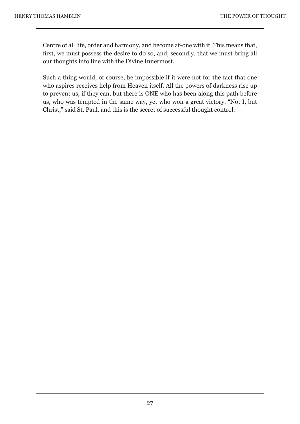Centre of all life, order and harmony, and become at-one with it. This means that, first, we must possess the desire to do so, and, secondly, that we must bring all our thoughts into line with the Divine Innermost.

Such a thing would, of course, be impossible if it were not for the fact that one who aspires receives help from Heaven itself. All the powers of darkness rise up to prevent us, if they can, but there is ONE who has been along this path before us, who was tempted in the same way, yet who won a great victory. "Not I, but Christ," said St. Paul, and this is the secret of successful thought control.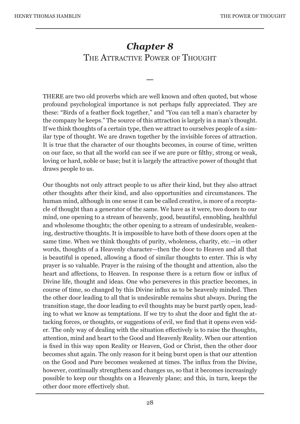# *Chapter 8*  THE ATTRACTIVE POWER OF THOUGHT

—

THERE are two old proverbs which are well known and often quoted, but whose profound psychological importance is not perhaps fully appreciated. They are these: "Birds of a feather flock together," and "You can tell a man's character by the company he keeps." The source of this attraction is largely in a man's thought. If we think thoughts of a certain type, then we attract to ourselves people of a similar type of thought. We are drawn together by the invisible forces of attraction. It is true that the character of our thoughts becomes, in course of time, written on our face, so that all the world can see if we are pure or filthy, strong or weak, loving or hard, noble or base; but it is largely the attractive power of thought that draws people to us.

Our thoughts not only attract people to us after their kind, but they also attract other thoughts after their kind, and also opportunities and circumstances. The human mind, although in one sense it can be called creative, is more of a receptacle of thought than a generator of the same. We have as it were, two doors to our mind, one opening to a stream of heavenly, good, beautiful, ennobling, healthful and wholesome thoughts; the other opening to a stream of undesirable, weakening, destructive thoughts. It is impossible to have both of these doors open at the same time. When we think thoughts of purity, wholeness, charity, etc.—in other words, thoughts of a Heavenly character—then the door to Heaven and all that is beautiful is opened, allowing a flood of similar thoughts to enter. This is why prayer is so valuable. Prayer is the raising of the thought and attention, also the heart and affections, to Heaven. In response there is a return flow or influx of Divine life, thought and ideas. One who perseveres in this practice becomes, in course of time, so changed by this Divine influx as to be heavenly minded. Then the other door leading to all that is undesirable remains shut always. During the transition stage, the door leading to evil thoughts may be burst partly open, leading to what we know as temptations. If we try to shut the door and fight the attacking forces, or thoughts, or suggestions of evil, we find that it opens even wider. The only way of dealing with the situation effectively is to raise the thoughts, attention, mind and heart to the Good and Heavenly Reality. When our attention is fixed in this way upon Reality or Heaven, God or Christ, then the other door becomes shut again. The only reason for it being burst open is that our attention on the Good and Pure becomes weakened at times. The influx from the Divine, however, continually strengthens and changes us, so that it becomes increasingly possible to keep our thoughts on a Heavenly plane; and this, in turn, keeps the other door more effectively shut.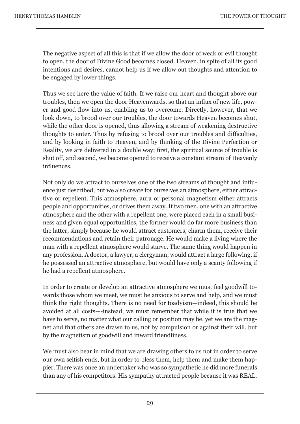The negative aspect of all this is that if we allow the door of weak or evil thought to open, the door of Divine Good becomes closed. Heaven, in spite of all its good intentions and desires, cannot help us if we allow out thoughts and attention to be engaged by lower things.

Thus we see here the value of faith. If we raise our heart and thought above our troubles, then we open the door Heavenwards, so that an influx of new life, power and good flow into us, enabling us to overcome. Directly, however, that we look down, to brood over our troubles, the door towards Heaven becomes shut, while the other door is opened, thus allowing a stream of weakening destructive thoughts to enter. Thus by refusing to brood over our troubles and difficulties, and by looking in faith to Heaven, and by thinking of the Divine Perfection or Reality, we are delivered in a double way; first, the spiritual source of trouble is shut off, and second, we become opened to receive a constant stream of Heavenly influences.

Not only do we attract to ourselves one of the two streams of thought and influence just described, but we also create for ourselves an atmosphere, either attractive or repellent. This atmosphere, aura or personal magnetism either attracts people and opportunities, or drives them away. If two men, one with an attractive atmosphere and the other with a repellent one, were placed each in a small business and given equal opportunities, the former would do far more business than the latter, simply because he would attract customers, charm them, receive their recommendations and retain their patronage. He would make a living where the man with a repellent atmosphere would starve. The same thing would happen in any profession. A doctor, a lawyer, a clergyman, would attract a large following, if he possessed an attractive atmosphere, but would have only a scanty following if he had a repellent atmosphere.

In order to create or develop an attractive atmosphere we must feel goodwill towards those whom we meet, we must be anxious to serve and help, and we must think the right thoughts. There is no need for toadyism—indeed, this should be avoided at all costs—-instead, we must remember that while it is true that we have to serve, no matter what our calling or position may be, yet we are the magnet and that others are drawn to us, not by compulsion or against their will, but by the magnetism of goodwill and inward friendliness.

We must also bear in mind that we are drawing others to us not in order to serve our own selfish ends, but in order to bless them, help them and make them happier. There was once an undertaker who was so sympathetic he did more funerals than any of his competitors. His sympathy attracted people because it was REAL.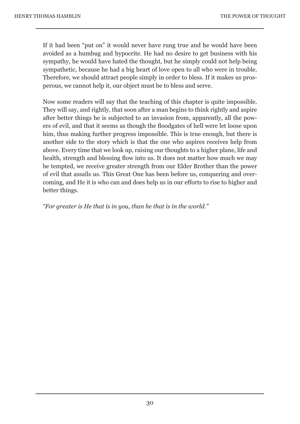If it had been "put on" it would never have rung true and he would have been avoided as a humbug and hypocrite. He had no desire to get business with his sympathy, he would have hated the thought, but he simply could not help being sympathetic, because he had a big heart of love open to all who were in trouble. Therefore, we should attract people simply in order to bless. If it makes us prosperous, we cannot help it, our object must be to bless and serve.

Now some readers will say that the teaching of this chapter is quite impossible. They will say, and rightly, that soon after a man begins to think rightly and aspire after better things he is subjected to an invasion from, apparently, all the powers of evil, and that it seems as though the floodgates of hell were let loose upon him, thus making further progress impossible. This is true enough, but there is another side to the story which is that the one who aspires receives help from above. Every time that we look up, raising our thoughts to a higher plane, life and health, strength and blessing flow into us. It does not matter how much we may be tempted, we receive greater strength from our Elder Brother than the power of evil that assails us. This Great One has been before us, conquering and overcoming, and He it is who can and does help us in our efforts to rise to higher and better things.

*"For greater is He that is in you, than he that is in the world."*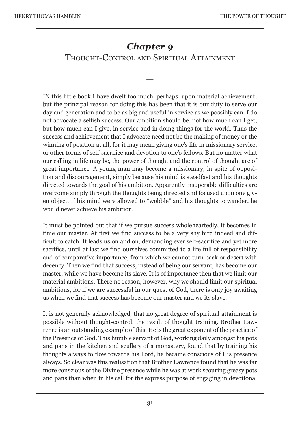# *Chapter 9*  THOUGHT-CONTROL AND SPIRITUAL ATTAINMENT

—

IN this little book I have dwelt too much, perhaps, upon material achievement; but the principal reason for doing this has been that it is our duty to serve our day and generation and to be as big and useful in service as we possibly can. I do not advocate a selfish success. Our ambition should be, not how much can I get, but how much can I give, in service and in doing things for the world. Thus the success and achievement that I advocate need not be the making of money or the winning of position at all, for it may mean giving one's life in missionary service, or other forms of self-sacrifice and devotion to one's fellows. But no matter what our calling in life may be, the power of thought and the control of thought are of great importance. A young man may become a missionary, in spite of opposition and discouragement, simply because his mind is steadfast and his thoughts directed towards the goal of his ambition. Apparently insuperable difficulties are overcome simply through the thoughts being directed and focused upon one given object. If his mind were allowed to "wobble" and his thoughts to wander, he would never achieve his ambition.

It must be pointed out that if we pursue success wholeheartedly, it becomes in time our master. At first we find success to be a very shy bird indeed and difficult to catch. It leads us on and on, demanding ever self-sacrifice and yet more sacrifice, until at last we find ourselves committed to a life full of responsibility and of comparative importance, from which we cannot turn back or desert with decency. Then we find that success, instead of being our servant, has become our master, while we have become its slave. It is of importance then that we limit our material ambitions. There no reason, however, why we should limit our spiritual ambitions, for if we are successful in our quest of God, there is only joy awaiting us when we find that success has become our master and we its slave.

It is not generally acknowledged, that no great degree of spiritual attainment is possible without thought-control, the result of thought training. Brother Lawrence is an outstanding example of this. He is the great exponent of the practice of the Presence of God. This humble servant of God, working daily amongst his pots and pans in the kitchen and scullery of a monastery, found that by training his thoughts always to flow towards his Lord, he became conscious of His presence always. So clear was this realisation that Brother Lawrence found that he was far more conscious of the Divine presence while he was at work scouring greasy pots and pans than when in his cell for the express purpose of engaging in devotional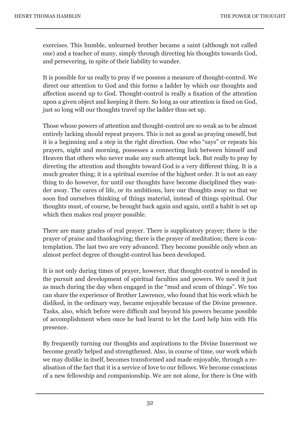exercises. This humble, unlearned brother became a saint (although not called one) and a teacher of many, simply through directing his thoughts towards God, and persevering, in spite of their liability to wander.

It is possible for us really to pray if we possess a measure of thought-control. We direct our attention to God and this forms a ladder by which our thoughts and affection ascend up to God. Thought-control is really a fixation of the attention upon a given object and keeping it there. So long as our attention is fixed on God, just so long will our thoughts travel up the ladder thus set up.

Those whose powers of attention and thought-control are so weak as to be almost entirely lacking should repeat prayers. This is not as good as praying oneself, but it is a beginning and a step in the right direction. One who "says" or repeats his prayers, night and morning, possesses a connecting link between himself and Heaven that others who never make any such attempt lack. But really to pray by directing the attention and thoughts toward God is a very different thing. It is a much greater thing; it is a spiritual exercise of the highest order. It is not an easy thing to do however, for until our thoughts have become disciplined they wander away. The cares of life, or its ambitions, lure our thoughts away so that we soon find ourselves thinking of things material, instead of things spiritual. Our thoughts must, of course, be brought back again and again, until a habit is set up which then makes real prayer possible.

There are many grades of real prayer. There is supplicatory prayer; there is the prayer of praise and thanksgiving; there is the prayer of meditation; there is contemplation. The last two are very advanced. They become possible only when an almost perfect degree of thought-control has been developed.

It is not only during times of prayer, however, that thought-control is needed in the pursuit and development of spiritual faculties and powers. We need it just as much during the day when engaged in the "mud and scum of things". We too can share the experience of Brother Lawrence, who found that his work which he disliked, in the ordinary way, became enjoyable because of the Divine presence. Tasks, also, which before were difficult and beyond his powers became possible of accomplishment when once he had learnt to let the Lord help him with His presence.

By frequently turning our thoughts and aspirations to the Divine Innermost we become greatly helped and strengthened. Also, in course of time, our work which we may dislike in itself, becomes transformed and made enjoyable, through a realisation of the fact that it is a service of love to our fellows. We become conscious of a new fellowship and companionship. We are not alone, for there is One with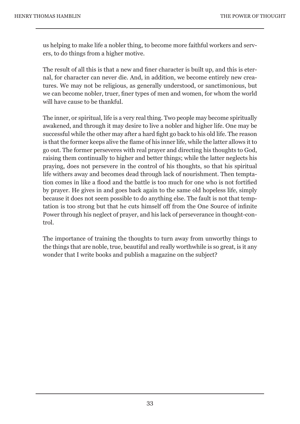us helping to make life a nobler thing, to become more faithful workers and servers, to do things from a higher motive.

The result of all this is that a new and finer character is built up, and this is eternal, for character can never die. And, in addition, we become entirely new creatures. We may not be religious, as generally understood, or sanctimonious, but we can become nobler, truer, finer types of men and women, for whom the world will have cause to be thankful.

The inner, or spiritual, life is a very real thing. Two people may become spiritually awakened, and through it may desire to live a nobler and higher life. One may be successful while the other may after a hard fight go back to his old life. The reason is that the former keeps alive the flame of his inner life, while the latter allows it to go out. The former perseveres with real prayer and directing his thoughts to God, raising them continually to higher and better things; while the latter neglects his praying, does not persevere in the control of his thoughts, so that his spiritual life withers away and becomes dead through lack of nourishment. Then temptation comes in like a flood and the battle is too much for one who is not fortified by prayer. He gives in and goes back again to the same old hopeless life, simply because it does not seem possible to do anything else. The fault is not that temptation is too strong but that he cuts himself off from the One Source of infinite Power through his neglect of prayer, and his lack of perseverance in thought-control.

The importance of training the thoughts to turn away from unworthy things to the things that are noble, true, beautiful and really worthwhile is so great, is it any wonder that I write books and publish a magazine on the subject?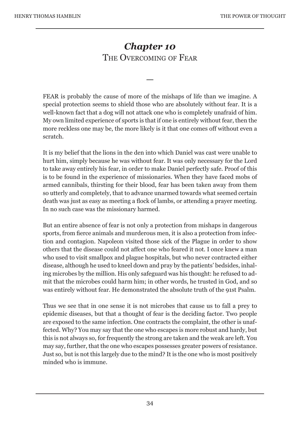# *Chapter 10*  THE OVERCOMING OF FEAR

—

FEAR is probably the cause of more of the mishaps of life than we imagine. A special protection seems to shield those who are absolutely without fear. It is a well-known fact that a dog will not attack one who is completely unafraid of him. My own limited experience of sports is that if one is entirely without fear, then the more reckless one may be, the more likely is it that one comes off without even a scratch.

It is my belief that the lions in the den into which Daniel was cast were unable to hurt him, simply because he was without fear. It was only necessary for the Lord to take away entirely his fear, in order to make Daniel perfectly safe. Proof of this is to be found in the experience of missionaries. When they have faced mobs of armed cannibals, thirsting for their blood, fear has been taken away from them so utterly and completely, that to advance unarmed towards what seemed certain death was just as easy as meeting a flock of lambs, or attending a prayer meeting. In no such case was the missionary harmed.

But an entire absence of fear is not only a protection from mishaps in dangerous sports, from fierce animals and murderous men, it is also a protection from infection and contagion. Napoleon visited those sick of the Plague in order to show others that the disease could not affect one who feared it not. I once knew a man who used to visit smallpox and plague hospitals, but who never contracted either disease, although he used to kneel down and pray by the patients' bedsides, inhaling microbes by the million. His only safeguard was his thought: he refused to admit that the microbes could harm him; in other words, he trusted in God, and so was entirely without fear. He demonstrated the absolute truth of the 91st Psalm.

Thus we see that in one sense it is not microbes that cause us to fall a prey to epidemic diseases, but that a thought of fear is the deciding factor. Two people are exposed to the same infection. One contracts the complaint, the other is unaffected. Why? You may say that the one who escapes is more robust and hardy, but this is not always so, for frequently the strong are taken and the weak are left. You may say, further, that the one who escapes possesses greater powers of resistance. Just so, but is not this largely due to the mind? It is the one who is most positively minded who is immune.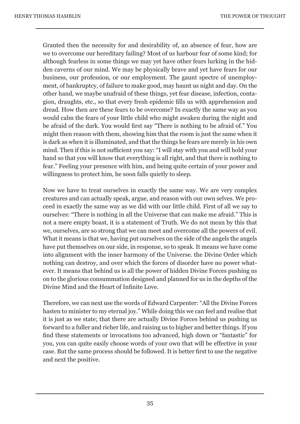Granted then the necessity for and desirability of, an absence of fear, how are we to overcome our hereditary failing? Most of us harbour fear of some kind; for although fearless in some things we may yet have other fears lurking in the hidden caverns of our mind. We may be physically brave and yet have fears for our business, our profession, or our employment. The gaunt spectre of unemployment, of bankruptcy, of failure to make good, may haunt us night and day. On the other hand, we maybe unafraid of these things, yet fear disease, infection, contagion, draughts, etc., so that every fresh epidemic fills us with apprehension and dread. How then are these fears to be overcome? In exactly the same way as you would calm the fears of your little child who might awaken during the night and be afraid of the dark. You would first say "There is nothing to be afraid of." You might then reason with them, showing him that the room is just the same when it is dark as when it is illuminated, and that the things he fears are merely in his own mind. Then if this is not sufficient you say: "I will stay with you and will hold your hand so that you will know that everything is all right, and that there is nothing to fear." Feeling your presence with him, and being quite certain of your power and willingness to protect him, he soon falls quietly to sleep.

Now we have to treat ourselves in exactly the same way. We are very complex creatures and can actually speak, argue, and reason with our own selves. We proceed in exactly the same way as we did with our little child. First of all we say to ourselves: "There is nothing in all the Universe that can make me afraid." This is not a mere empty boast, it is a statement of Truth. We do not mean by this that we, ourselves, are so strong that we can meet and overcome all the powers of evil. What it means is that we, having put ourselves on the side of the angels the angels have put themselves on our side, in response, so to speak. It means we have come into alignment with the inner harmony of the Universe. the Divine Order which nothing can destroy, and over which the forces of disorder have no power whatever. It means that behind us is all the power of hidden Divine Forces pushing us on to the glorious consummation designed and planned for us in the depths of the Divine Mind and the Heart of Infinite Love.

Therefore, we can next use the words of Edward Carpenter: "All the Divine Forces hasten to minister to my eternal joy." While doing this we can feel and realise that it is just as we state; that there are actually Divine Forces behind us pushing us forward to a fuller and richer life, and raising us to higher and better things. If you find these statements or invocations too advanced, high down or "fantastic" for you, you can quite easily choose words of your own that will be effective in your case. But the same process should be followed. It is better first to use the negative and next the positive.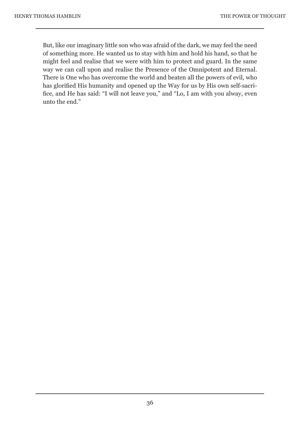But, like our imaginary little son who was afraid of the dark, we may feel the need of something more. He wanted us to stay with him and hold his hand, so that he might feel and realise that we were with him to protect and guard. In the same way we can call upon and realise the Presence of the Omnipotent and Eternal. There is One who has overcome the world and beaten all the powers of evil, who has glorified His humanity and opened up the Way for us by His own self-sacrifice, and He has said: "I will not leave you," and "Lo, I am with you alway, even unto the end."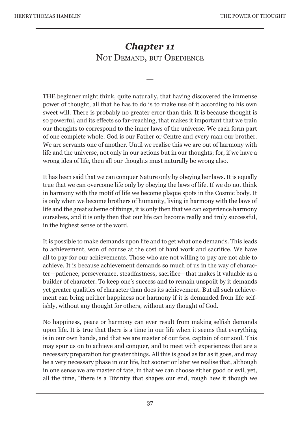# *Chapter 11* NOT DEMAND, BUT OBEDIENCE

—

THE beginner might think, quite naturally, that having discovered the immense power of thought, all that he has to do is to make use of it according to his own sweet will. There is probably no greater error than this. It is because thought is so powerful, and its effects so far-reaching, that makes it important that we train our thoughts to correspond to the inner laws of the universe. We each form part of one complete whole. God is our Father or Centre and every man our brother. We are servants one of another. Until we realise this we are out of harmony with life and the universe, not only in our actions but in our thoughts; for, if we have a wrong idea of life, then all our thoughts must naturally be wrong also.

It has been said that we can conquer Nature only by obeying her laws. It is equally true that we can overcome life only by obeying the laws of life. If we do not think in harmony with the motif of life we become plaque spots in the Cosmic body. It is only when we become brothers of humanity, living in harmony with the laws of life and the great scheme of things, it is only then that we can experience harmony ourselves, and it is only then that our life can become really and truly successful, in the highest sense of the word.

It is possible to make demands upon life and to get what one demands. This leads to achievement, won of course at the cost of hard work and sacrifice. We have all to pay for our achievements. Those who are not willing to pay are not able to achieve. It is because achievement demands so much of us in the way of character—patience, perseverance, steadfastness, sacrifice—that makes it valuable as a builder of character. To keep one's success and to remain unspoilt by it demands yet greater qualities of character than does its achievement. But all such achievement can bring neither happiness nor harmony if it is demanded from life selfishly, without any thought for others, without any thought of God.

No happiness, peace or harmony can ever result from making selfish demands upon life. It is true that there is a time in our life when it seems that everything is in our own hands, and that we are master of our fate, captain of our soul. This may spur us on to achieve and conquer, and to meet with experiences that are a necessary preparation for greater things. All this is good as far as it goes, and may be a very necessary phase in our life, but sooner or later we realise that, although in one sense we are master of fate, in that we can choose either good or evil, yet, all the time, "there is a Divinity that shapes our end, rough hew it though we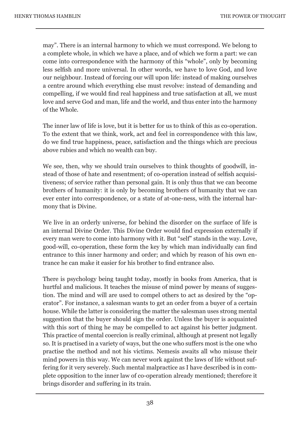may". There is an internal harmony to which we must correspond. We belong to a complete whole, in which we have a place, and of which we form a part: we can come into correspondence with the harmony of this "whole", only by becoming less selfish and more universal. In other words, we have to love God, and love our neighbour. Instead of forcing our will upon life: instead of making ourselves a centre around which everything else must revolve: instead of demanding and compelling, if we would find real happiness and true satisfaction at all, we must love and serve God and man, life and the world, and thus enter into the harmony of the Whole.

The inner law of life is love, but it is better for us to think of this as co-operation. To the extent that we think, work, act and feel in correspondence with this law, do we find true happiness, peace, satisfaction and the things which are precious above rubies and which no wealth can buy.

We see, then, why we should train ourselves to think thoughts of goodwill, instead of those of hate and resentment; of co-operation instead of selfish acquisitiveness; of service rather than personal gain. It is only thus that we can become brothers of humanity: it is only by becoming brothers of humanity that we can ever enter into correspondence, or a state of at-one-ness, with the internal harmony that is Divine.

We live in an orderly universe, for behind the disorder on the surface of life is an internal Divine Order. This Divine Order would find expression externally if every man were to come into harmony with it. But "self" stands in the way. Love, good-will, co-operation, these form the key by which man individually can find entrance to this inner harmony and order; and which by reason of his own entrance he can make it easier for his brother to find entrance also.

There is psychology being taught today, mostly in books from America, that is hurtful and malicious. It teaches the misuse of mind power by means of suggestion. The mind and will are used to compel others to act as desired by the "operator". For instance, a salesman wants to get an order from a buyer of a certain house. While the latter is considering the matter the salesman uses strong mental suggestion that the buyer should sign the order. Unless the buyer is acquainted with this sort of thing he may be compelled to act against his better judgment. This practice of mental coercion is really criminal, although at present not legally so. It is practised in a variety of ways, but the one who suffers most is the one who practise the method and not his victims. Nemesis awaits all who misuse their mind powers in this way. We can never work against the laws of life without suffering for it very severely. Such mental malpractice as I have described is in complete opposition to the inner law of co-operation already mentioned; therefore it brings disorder and suffering in its train.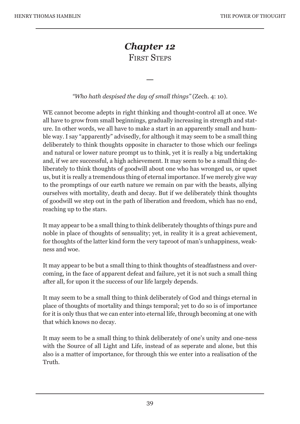# *Chapter 12*

FIRST STEPS

*"Who hath despised the day of small things"* (Zech. 4: 10).

—

WE cannot become adepts in right thinking and thought-control all at once. We all have to grow from small beginnings, gradually increasing in strength and stature. In other words, we all have to make a start in an apparently small and humble way. I say "apparently" advisedly, for although it may seem to be a small thing deliberately to think thoughts opposite in character to those which our feelings and natural or lower nature prompt us to think, yet it is really a big undertaking and, if we are successful, a high achievement. It may seem to be a small thing deliberately to think thoughts of goodwill about one who has wronged us, or upset us, but it is really a tremendous thing of eternal importance. If we merely give way to the promptings of our earth nature we remain on par with the beasts, allying ourselves with mortality, death and decay. But if we deliberately think thoughts of goodwill we step out in the path of liberation and freedom, which has no end, reaching up to the stars.

It may appear to be a small thing to think deliberately thoughts of things pure and noble in place of thoughts of sensuality; yet, in reality it is a great achievement, for thoughts of the latter kind form the very taproot of man's unhappiness, weakness and woe.

It may appear to be but a small thing to think thoughts of steadfastness and overcoming, in the face of apparent defeat and failure, yet it is not such a small thing after all, for upon it the success of our life largely depends.

It may seem to be a small thing to think deliberately of God and things eternal in place of thoughts of mortality and things temporal; yet to do so is of importance for it is only thus that we can enter into eternal life, through becoming at one with that which knows no decay.

It may seem to be a small thing to think deliberately of one's unity and one-ness with the Source of all Light and Life, instead of as seperate and alone, but this also is a matter of importance, for through this we enter into a realisation of the Truth.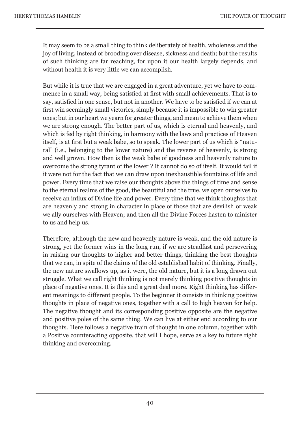It may seem to be a small thing to think deliberately of health, wholeness and the joy of living, instead of brooding over disease, sickness and death; but the results of such thinking are far reaching, for upon it our health largely depends, and without health it is very little we can accomplish.

But while it is true that we are engaged in a great adventure, yet we have to commence in a small way, being satisfied at first with small achievements. That is to say, satisfied in one sense, but not in another. We have to be satisfied if we can at first win seemingly small victories, simply because it is impossible to win greater ones; but in our heart we yearn for greater things, and mean to achieve them when we are strong enough. The better part of us, which is eternal and heavenly, and which is fed by right thinking, in harmony with the laws and practices of Heaven itself, is at first but a weak babe, so to speak. The lower part of us which is "natural" (i.e., belonging to the lower nature) and the reverse of heavenly, is strong and well grown. How then is the weak babe of goodness and heavenly nature to overcome the strong tyrant of the lower ? It cannot do so of itself. It would fail if it were not for the fact that we can draw upon inexhaustible fountains of life and power. Every time that we raise our thoughts above the things of time and sense to the eternal realms of the good, the beautiful and the true, we open ourselves to receive an influx of Divine life and power. Every time that we think thoughts that are heavenly and strong in character in place of those that are devilish or weak we ally ourselves with Heaven; and then all the Divine Forces hasten to minister to us and help us.

Therefore, although the new and heavenly nature is weak, and the old nature is strong, yet the former wins in the long run, if we are steadfast and persevering in raising our thoughts to higher and better things, thinking the best thoughts that we can, in spite of the claims of the old established habit of thinking. Finally, the new nature swallows up, as it were, the old nature, but it is a long drawn out struggle. What we call right thinking is not merely thinking positive thoughts in place of negative ones. It is this and a great deal more. Right thinking has different meanings to different people. To the beginner it consists in thinking positive thoughts in place of negative ones, together with a call to high heaven for help. The negative thought and its corresponding positive opposite are the negative and positive poles of the same thing. We can live at either end according to our thoughts. Here follows a negative train of thought in one column, together with a Positive counteracting opposite, that will I hope, serve as a key to future right thinking and overcoming.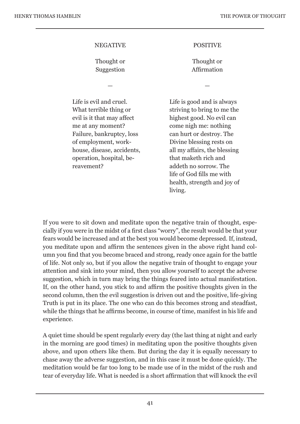#### NEGATIVE

Thought or Suggestion

—

POSITIVE

Thought or Affirmation

—

Life is evil and cruel. What terrible thing or evil is it that may affect me at any moment? Failure, bankruptcy, loss of employment, workhouse, disease, accidents, operation, hospital, bereavement?

Life is good and is always striving to bring to me the highest good. No evil can come nigh me: nothing can hurt or destroy. The Divine blessing rests on all my affairs, the blessing that maketh rich and addeth no sorrow. The life of God fills me with health, strength and joy of living.

If you were to sit down and meditate upon the negative train of thought, especially if you were in the midst of a first class "worry", the result would be that your fears would be increased and at the best you would become depressed. If, instead, you meditate upon and affirm the sentences given in the above right hand column you find that you become braced and strong, ready once again for the battle of life. Not only so, but if you allow the negative train of thought to engage your attention and sink into your mind, then you allow yourself to accept the adverse suggestion, which in turn may bring the things feared into actual manifestation. If, on the other hand, you stick to and affirm the positive thoughts given in the second column, then the evil suggestion is driven out and the positive, life-giving Truth is put in its place. The one who can do this becomes strong and steadfast, while the things that he affirms become, in course of time, manifest in his life and experience.

A quiet time should be spent regularly every day (the last thing at night and early in the morning are good times) in meditating upon the positive thoughts given above, and upon others like them. But during the day it is equally necessary to chase away the adverse suggestion, and in this case it must be done quickly. The meditation would be far too long to be made use of in the midst of the rush and tear of everyday life. What is needed is a short affirmation that will knock the evil